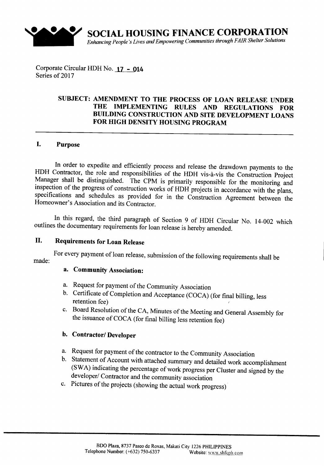

**SOCIAL HOUSING FINANCE CORPORATION** *Enhancing People's Lives and Empowering Communities through FAIR Shelter Solutions*

Corporate Circular HDH No. 17 - 014 Series of 2017

### SUBJECT: AMENDMENT TO THE PROCESS OF LOAN RELEASE UNDER THE IMPLEMENTING RULES AND REGULATIONS FOR BUILDING CONSTRUCTION AND SITE DEVELOPMENT LOANS FOR HIGH DENSITY HOUSING PROGRAM

## I. Purpose

In order to expedite and efficiently process and release the drawdown payments to the HDH Contractor, the role and responsibilities of the HDH vis-à-vis the Construction Project Manager shall be distinguished. The CPM is primarily responsible for the monitoring and inspection of the progress of construction works of HDH projects in accordance with the plans, specifications and schedules as provided for in the Construction Agreement between the Homeowner's Association and its Contractor.

In this regard, the third paragraph of Section 9 of HDH Circular No. 14-002 which outlines the documentary requirements for loan release is hereby amended.

# II. Requirements for Loan Release

For every payment of loan release, submission of the following requirements shall be made:

## a. Community Association:

- a. Request for payment of the Community Association
- b. Certificate of Completion and Acceptance (COCA) (for final billing, less retention fee)
- c. Board Resolution of the CA, Minutes of the Meeting and General Assembly for the issuance of COCA (for final billing less retention fee)

### h. Contractor/ Developer

- a. Request for payment of the contractor to the Community Association
- b. Statement of Account with attached summary and detailed work accomplishment (SWA) indicating the percentage of work progress per Cluster and signed by the developer/ Contractor and the community association
- c. Pictures of the projects (showing the actual work progress)·